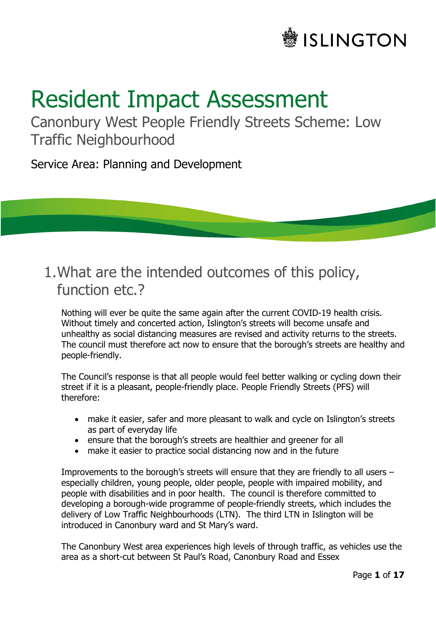# **SLINGTON**

# Resident Impact Assessment

Canonbury West People Friendly Streets Scheme: Low Traffic Neighbourhood

Service Area: Planning and Development

# 1.What are the intended outcomes of this policy, function etc.?

Nothing will ever be quite the same again after the current COVID-19 health crisis. Without timely and concerted action, Islington's streets will become unsafe and unhealthy as social distancing measures are revised and activity returns to the streets. The council must therefore act now to ensure that the borough's streets are healthy and people-friendly.

The Council's response is that all people would feel better walking or cycling down their street if it is a pleasant, people-friendly place. People Friendly Streets (PFS) will therefore:

- make it easier, safer and more pleasant to walk and cycle on Islington's streets as part of everyday life
- ensure that the borough's streets are healthier and greener for all
- make it easier to practice social distancing now and in the future

Improvements to the borough's streets will ensure that they are friendly to all users – especially children, young people, older people, people with impaired mobility, and people with disabilities and in poor health. The council is therefore committed to developing a borough-wide programme of people-friendly streets, which includes the delivery of Low Traffic Neighbourhoods (LTN). The third LTN in Islington will be introduced in Canonbury ward and St Mary's ward.

The Canonbury West area experiences high levels of through traffic, as vehicles use the area as a short-cut between St Paul's Road, Canonbury Road and Essex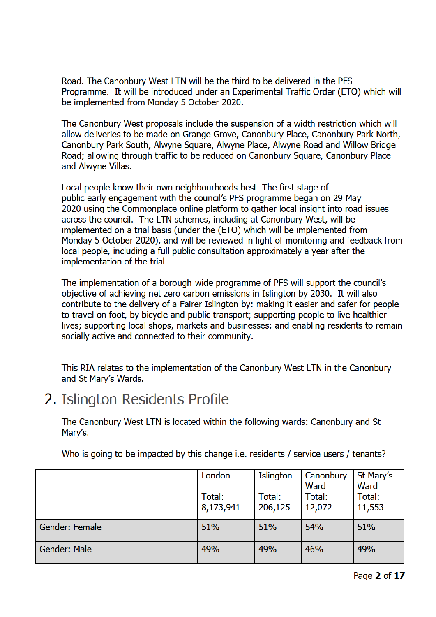Road. The Canonbury West LTN will be the third to be delivered in the PFS Programme. It will be introduced under an Experimental Traffic Order (ETO) which will be implemented from Monday 5 October 2020.

The Canonbury West proposals include the suspension of a width restriction which will allow deliveries to be made on Grange Grove, Canonbury Place, Canonbury Park North, Canonbury Park South, Alwyne Square, Alwyne Place, Alwyne Road and Willow Bridge Road; allowing through traffic to be reduced on Canonbury Square, Canonbury Place and Alwyne Villas.

Local people know their own neighbourhoods best. The first stage of public early engagement with the council's PFS programme began on 29 May 2020 using the Commonplace online platform to gather local insight into road issues across the council. The LTN schemes, including at Canonbury West, will be implemented on a trial basis (under the (ETO) which will be implemented from Monday 5 October 2020), and will be reviewed in light of monitoring and feedback from local people, including a full public consultation approximately a year after the implementation of the trial.

The implementation of a borough-wide programme of PFS will support the council's objective of achieving net zero carbon emissions in Islington by 2030. It will also contribute to the delivery of a Fairer Islington by: making it easier and safer for people to travel on foot, by bicycle and public transport; supporting people to live healthier lives; supporting local shops, markets and businesses; and enabling residents to remain socially active and connected to their community.

This RIA relates to the implementation of the Canonbury West LTN in the Canonbury and St Mary's Wards.

2. Islington Residents Profile

The Canonbury West LTN is located within the following wards: Canonbury and St Mary's.

|                | London<br>Total:<br>8,173,941 | Islington<br>Total:<br>206,125 | Canonbury<br>Ward<br>Total:<br>12,072 | St Mary's<br>Ward<br>Total:<br>11,553 |
|----------------|-------------------------------|--------------------------------|---------------------------------------|---------------------------------------|
| Gender: Female | 51%                           | 51%                            | 54%                                   | 51%                                   |
| Gender: Male   | 49%                           | 49%                            | 46%                                   | 49%                                   |

Who is going to be impacted by this change i.e. residents / service users / tenants?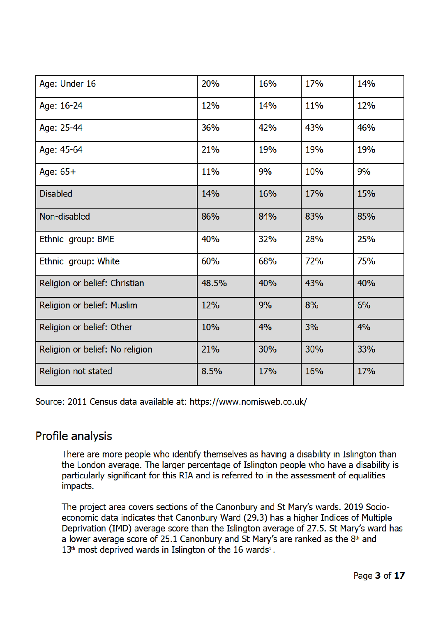| Age: Under 16                   | 20%   | 16% | 17% | 14% |
|---------------------------------|-------|-----|-----|-----|
| Age: 16-24                      | 12%   | 14% | 11% | 12% |
| Age: 25-44                      | 36%   | 42% | 43% | 46% |
| Age: 45-64                      | 21%   | 19% | 19% | 19% |
| Age: $65+$                      | 11%   | 9%  | 10% | 9%  |
| <b>Disabled</b>                 | 14%   | 16% | 17% | 15% |
| Non-disabled                    | 86%   | 84% | 83% | 85% |
| Ethnic group: BME               | 40%   | 32% | 28% | 25% |
| Ethnic group: White             | 60%   | 68% | 72% | 75% |
| Religion or belief: Christian   | 48.5% | 40% | 43% | 40% |
| Religion or belief: Muslim      | 12%   | 9%  | 8%  | 6%  |
| Religion or belief: Other       | 10%   | 4%  | 3%  | 4%  |
| Religion or belief: No religion | 21%   | 30% | 30% | 33% |
| Religion not stated             | 8.5%  | 17% | 16% | 17% |

Source: 2011 Census data available at: https://www.nomisweb.co.uk/

#### Profile analysis

There are more people who identify themselves as having a disability in Islington than the London average. The larger percentage of Islington people who have a disability is particularly significant for this RIA and is referred to in the assessment of equalities impacts.

The project area covers sections of the Canonbury and St Mary's wards. 2019 Socioeconomic data indicates that Canonbury Ward (29.3) has a higher Indices of Multiple Deprivation (IMD) average score than the Islington average of 27.5. St Mary's ward has a lower average score of 25.1 Canonbury and St Mary's are ranked as the 8th and 13<sup>th</sup> most deprived wards in Islington of the 16 wards<sup>1</sup>.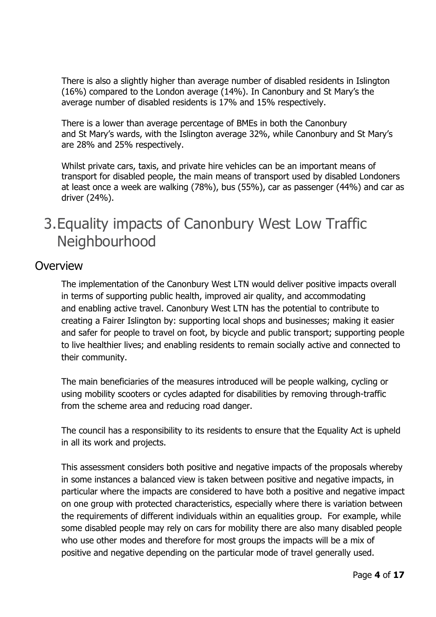There is also a slightly higher than average number of disabled residents in Islington (16%) compared to the London average (14%). In Canonbury and St Mary's the average number of disabled residents is 17% and 15% respectively.

There is a lower than average percentage of BMEs in both the Canonbury and St Mary's wards, with the Islington average 32%, while Canonbury and St Mary's are 28% and 25% respectively.

Whilst private cars, taxis, and private hire vehicles can be an important means of transport for disabled people, the main means of transport used by disabled Londoners at least once a week are walking (78%), bus (55%), car as passenger (44%) and car as driver (24%).

# 3.Equality impacts of Canonbury West Low Traffic Neighbourhood

#### **Overview**

The implementation of the Canonbury West LTN would deliver positive impacts overall in terms of supporting public health, improved air quality, and accommodating and enabling active travel. Canonbury West LTN has the potential to contribute to creating a Fairer Islington by: supporting local shops and businesses; making it easier and safer for people to travel on foot, by bicycle and public transport; supporting people to live healthier lives; and enabling residents to remain socially active and connected to their community.

The main beneficiaries of the measures introduced will be people walking, cycling or using mobility scooters or cycles adapted for disabilities by removing through-traffic from the scheme area and reducing road danger.

The council has a responsibility to its residents to ensure that the Equality Act is upheld in all its work and projects.

This assessment considers both positive and negative impacts of the proposals whereby in some instances a balanced view is taken between positive and negative impacts, in particular where the impacts are considered to have both a positive and negative impact on one group with protected characteristics, especially where there is variation between the requirements of different individuals within an equalities group. For example, while some disabled people may rely on cars for mobility there are also many disabled people who use other modes and therefore for most groups the impacts will be a mix of positive and negative depending on the particular mode of travel generally used.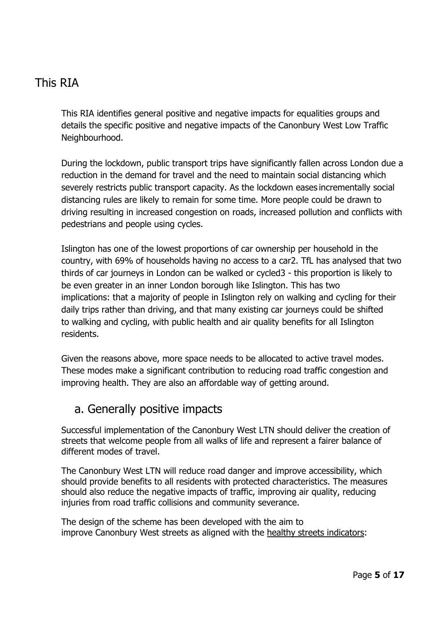## This RIA

This RIA identifies general positive and negative impacts for equalities groups and details the specific positive and negative impacts of the Canonbury West Low Traffic Neighbourhood.

During the lockdown, public transport trips have significantly fallen across London due a reduction in the demand for travel and the need to maintain social distancing which severely restricts public transport capacity. As the lockdown eases incrementally social distancing rules are likely to remain for some time. More people could be drawn to driving resulting in increased congestion on roads, increased pollution and conflicts with pedestrians and people using cycles.

Islington has one of the lowest proportions of car ownership per household in the country, with 69% of households having no access to a car2. TfL has analysed that two thirds of car journeys in London can be walked or cycled3 - this proportion is likely to be even greater in an inner London borough like Islington. This has two implications: that a majority of people in Islington rely on walking and cycling for their daily trips rather than driving, and that many existing car journeys could be shifted to walking and cycling, with public health and air quality benefits for all Islington residents.

Given the reasons above, more space needs to be allocated to active travel modes. These modes make a significant contribution to reducing road traffic congestion and improving health. They are also an affordable way of getting around.

#### a. Generally positive impacts

Successful implementation of the Canonbury West LTN should deliver the creation of streets that welcome people from all walks of life and represent a fairer balance of different modes of travel.

The Canonbury West LTN will reduce road danger and improve accessibility, which should provide benefits to all residents with protected characteristics. The measures should also reduce the negative impacts of traffic, improving air quality, reducing injuries from road traffic collisions and community severance.

The design of the scheme has been developed with the aim to improve Canonbury West streets as aligned with the healthy streets indicators: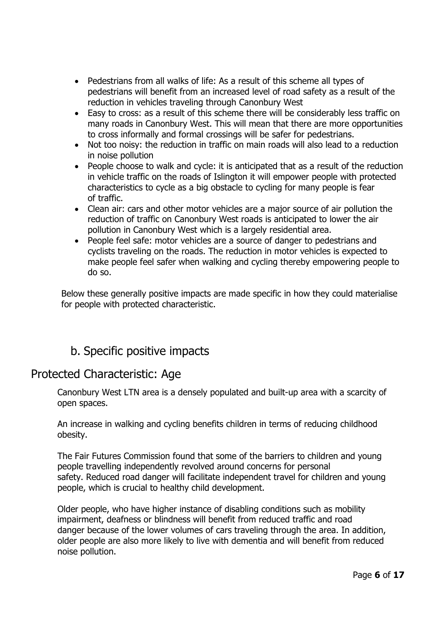- Pedestrians from all walks of life: As a result of this scheme all types of pedestrians will benefit from an increased level of road safety as a result of the reduction in vehicles traveling through Canonbury West
- Easy to cross: as a result of this scheme there will be considerably less traffic on many roads in Canonbury West. This will mean that there are more opportunities to cross informally and formal crossings will be safer for pedestrians.
- Not too noisy: the reduction in traffic on main roads will also lead to a reduction in noise pollution
- People choose to walk and cycle: it is anticipated that as a result of the reduction in vehicle traffic on the roads of Islington it will empower people with protected characteristics to cycle as a big obstacle to cycling for many people is fear of traffic.
- Clean air: cars and other motor vehicles are a major source of air pollution the reduction of traffic on Canonbury West roads is anticipated to lower the air pollution in Canonbury West which is a largely residential area.
- People feel safe: motor vehicles are a source of danger to pedestrians and cyclists traveling on the roads. The reduction in motor vehicles is expected to make people feel safer when walking and cycling thereby empowering people to do so.

Below these generally positive impacts are made specific in how they could materialise for people with protected characteristic.

## b. Specific positive impacts

#### Protected Characteristic: Age

Canonbury West LTN area is a densely populated and built-up area with a scarcity of open spaces.

An increase in walking and cycling benefits children in terms of reducing childhood obesity.

The Fair Futures Commission found that some of the barriers to children and young people travelling independently revolved around concerns for personal safety. Reduced road danger will facilitate independent travel for children and young people, which is crucial to healthy child development.

Older people, who have higher instance of disabling conditions such as mobility impairment, deafness or blindness will benefit from reduced traffic and road danger because of the lower volumes of cars traveling through the area. In addition, older people are also more likely to live with dementia and will benefit from reduced noise pollution.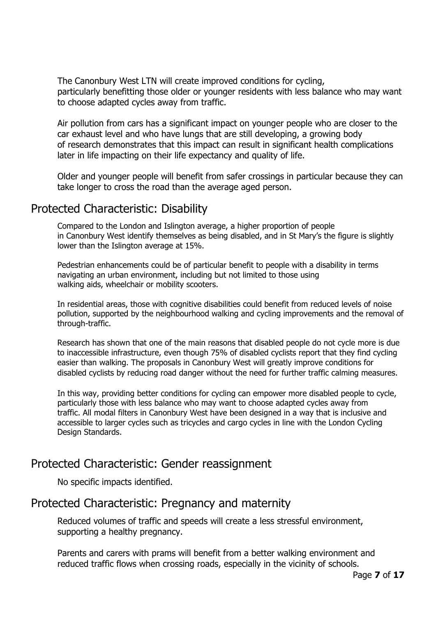The Canonbury West LTN will create improved conditions for cycling, particularly benefitting those older or younger residents with less balance who may want to choose adapted cycles away from traffic.

Air pollution from cars has a significant impact on younger people who are closer to the car exhaust level and who have lungs that are still developing, a growing body of research demonstrates that this impact can result in significant health complications later in life impacting on their life expectancy and quality of life.

Older and younger people will benefit from safer crossings in particular because they can take longer to cross the road than the average aged person.

#### Protected Characteristic: Disability

Compared to the London and Islington average, a higher proportion of people in Canonbury West identify themselves as being disabled, and in St Mary's the figure is slightly lower than the Islington average at 15%.

Pedestrian enhancements could be of particular benefit to people with a disability in terms navigating an urban environment, including but not limited to those using walking aids, wheelchair or mobility scooters.

In residential areas, those with cognitive disabilities could benefit from reduced levels of noise pollution, supported by the neighbourhood walking and cycling improvements and the removal of through-traffic.

Research has shown that one of the main reasons that disabled people do not cycle more is due to inaccessible infrastructure, even though 75% of disabled cyclists report that they find cycling easier than walking. The proposals in Canonbury West will greatly improve conditions for disabled cyclists by reducing road danger without the need for further traffic calming measures.

In this way, providing better conditions for cycling can empower more disabled people to cycle, particularly those with less balance who may want to choose adapted cycles away from traffic. All modal filters in Canonbury West have been designed in a way that is inclusive and accessible to larger cycles such as tricycles and cargo cycles in line with the London Cycling Design Standards.

#### Protected Characteristic: Gender reassignment

No specific impacts identified.

#### Protected Characteristic: Pregnancy and maternity

Reduced volumes of traffic and speeds will create a less stressful environment, supporting a healthy pregnancy.

Parents and carers with prams will benefit from a better walking environment and reduced traffic flows when crossing roads, especially in the vicinity of schools.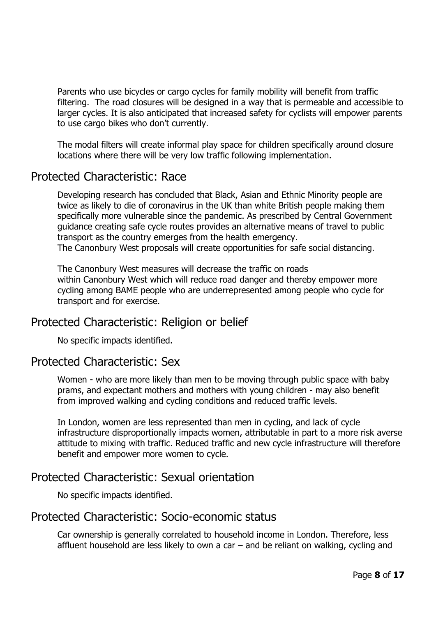Parents who use bicycles or cargo cycles for family mobility will benefit from traffic filtering. The road closures will be designed in a way that is permeable and accessible to larger cycles. It is also anticipated that increased safety for cyclists will empower parents to use cargo bikes who don't currently.

The modal filters will create informal play space for children specifically around closure locations where there will be very low traffic following implementation.

#### Protected Characteristic: Race

Developing research has concluded that Black, Asian and Ethnic Minority people are twice as likely to die of coronavirus in the UK than white British people making them specifically more vulnerable since the pandemic. As prescribed by Central Government guidance creating safe cycle routes provides an alternative means of travel to public transport as the country emerges from the health emergency.

The Canonbury West proposals will create opportunities for safe social distancing.

The Canonbury West measures will decrease the traffic on roads within Canonbury West which will reduce road danger and thereby empower more cycling among BAME people who are underrepresented among people who cycle for transport and for exercise.

#### Protected Characteristic: Religion or belief

No specific impacts identified.

#### Protected Characteristic: Sex

Women - who are more likely than men to be moving through public space with baby prams, and expectant mothers and mothers with young children - may also benefit from improved walking and cycling conditions and reduced traffic levels.

In London, women are less represented than men in cycling, and lack of cycle infrastructure disproportionally impacts women, attributable in part to a more risk averse attitude to mixing with traffic. Reduced traffic and new cycle infrastructure will therefore benefit and empower more women to cycle.

#### Protected Characteristic: Sexual orientation

No specific impacts identified.

#### Protected Characteristic: Socio-economic status

Car ownership is generally correlated to household income in London. Therefore, less affluent household are less likely to own a car – and be reliant on walking, cycling and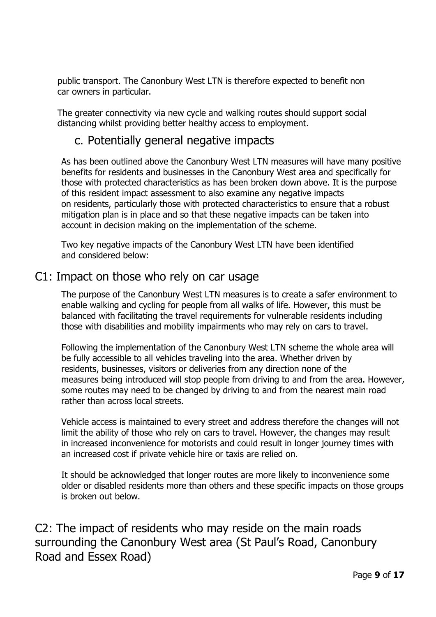public transport. The Canonbury West LTN is therefore expected to benefit non car owners in particular.

The greater connectivity via new cycle and walking routes should support social distancing whilst providing better healthy access to employment.

#### c. Potentially general negative impacts

As has been outlined above the Canonbury West LTN measures will have many positive benefits for residents and businesses in the Canonbury West area and specifically for those with protected characteristics as has been broken down above. It is the purpose of this resident impact assessment to also examine any negative impacts on residents, particularly those with protected characteristics to ensure that a robust mitigation plan is in place and so that these negative impacts can be taken into account in decision making on the implementation of the scheme.

Two key negative impacts of the Canonbury West LTN have been identified and considered below:

## C1: Impact on those who rely on car usage

The purpose of the Canonbury West LTN measures is to create a safer environment to enable walking and cycling for people from all walks of life. However, this must be balanced with facilitating the travel requirements for vulnerable residents including those with disabilities and mobility impairments who may rely on cars to travel.

Following the implementation of the Canonbury West LTN scheme the whole area will be fully accessible to all vehicles traveling into the area. Whether driven by residents, businesses, visitors or deliveries from any direction none of the measures being introduced will stop people from driving to and from the area. However, some routes may need to be changed by driving to and from the nearest main road rather than across local streets.

Vehicle access is maintained to every street and address therefore the changes will not limit the ability of those who rely on cars to travel. However, the changes may result in increased inconvenience for motorists and could result in longer journey times with an increased cost if private vehicle hire or taxis are relied on.

It should be acknowledged that longer routes are more likely to inconvenience some older or disabled residents more than others and these specific impacts on those groups is broken out below.

C2: The impact of residents who may reside on the main roads surrounding the Canonbury West area (St Paul's Road, Canonbury Road and Essex Road)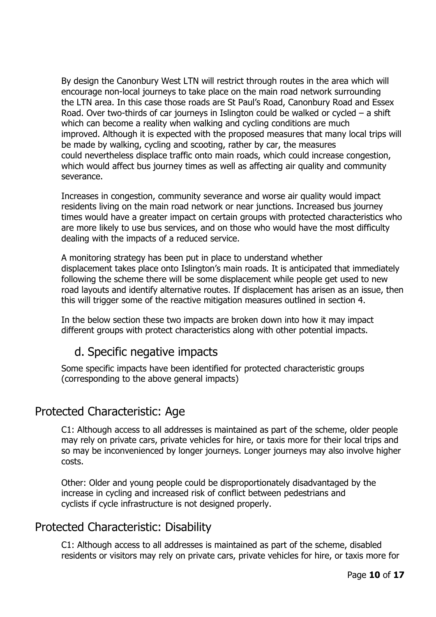By design the Canonbury West LTN will restrict through routes in the area which will encourage non-local journeys to take place on the main road network surrounding the LTN area. In this case those roads are St Paul's Road, Canonbury Road and Essex Road. Over two-thirds of car journeys in Islington could be walked or cycled  $-$  a shift which can become a reality when walking and cycling conditions are much improved. Although it is expected with the proposed measures that many local trips will be made by walking, cycling and scooting, rather by car, the measures could nevertheless displace traffic onto main roads, which could increase congestion, which would affect bus journey times as well as affecting air quality and community severance.

Increases in congestion, community severance and worse air quality would impact residents living on the main road network or near junctions. Increased bus journey times would have a greater impact on certain groups with protected characteristics who are more likely to use bus services, and on those who would have the most difficulty dealing with the impacts of a reduced service.

A monitoring strategy has been put in place to understand whether displacement takes place onto Islington's main roads. It is anticipated that immediately following the scheme there will be some displacement while people get used to new road layouts and identify alternative routes. If displacement has arisen as an issue, then this will trigger some of the reactive mitigation measures outlined in section 4.

In the below section these two impacts are broken down into how it may impact different groups with protect characteristics along with other potential impacts.

## d. Specific negative impacts

Some specific impacts have been identified for protected characteristic groups (corresponding to the above general impacts)

#### Protected Characteristic: Age

C1: Although access to all addresses is maintained as part of the scheme, older people may rely on private cars, private vehicles for hire, or taxis more for their local trips and so may be inconvenienced by longer journeys. Longer journeys may also involve higher costs.

Other: Older and young people could be disproportionately disadvantaged by the increase in cycling and increased risk of conflict between pedestrians and cyclists if cycle infrastructure is not designed properly.

#### Protected Characteristic: Disability

C1: Although access to all addresses is maintained as part of the scheme, disabled residents or visitors may rely on private cars, private vehicles for hire, or taxis more for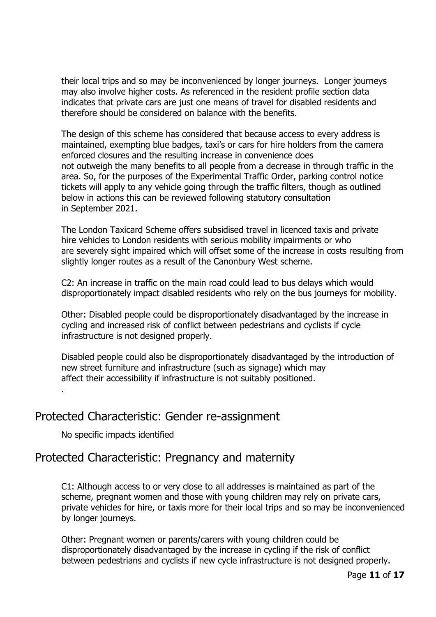their local trips and so may be inconvenienced by longer journeys. Longer journeys may also involve higher costs. As referenced in the resident profile section data indicates that private cars are just one means of travel for disabled residents and therefore should be considered on balance with the benefits.

The design of this scheme has considered that because access to every address is maintained, exempting blue badges, taxi's or cars for hire holders from the camera enforced closures and the resulting increase in convenience does not outweigh the many benefits to all people from a decrease in through traffic in the area. So, for the purposes of the Experimental Traffic Order, parking control notice tickets will apply to any vehicle going through the traffic filters, though as outlined below in actions this can be reviewed following statutory consultation in September 2021.

The London Taxicard Scheme offers subsidised travel in licenced taxis and private hire vehicles to London residents with serious mobility impairments or who are severely sight impaired which will offset some of the increase in costs resulting from slightly longer routes as a result of the Canonbury West scheme.

C2: An increase in traffic on the main road could lead to bus delays which would disproportionately impact disabled residents who rely on the bus journeys for mobility.

Other: Disabled people could be disproportionately disadvantaged by the increase in cycling and increased risk of conflict between pedestrians and cyclists if cycle infrastructure is not designed properly.

Disabled people could also be disproportionately disadvantaged by the introduction of new street furniture and infrastructure (such as signage) which may affect their accessibility if infrastructure is not suitably positioned.

#### Protected Characteristic: Gender re-assignment

No specific impacts identified

.

#### Protected Characteristic: Pregnancy and maternity

C1: Although access to or very close to all addresses is maintained as part of the scheme, pregnant women and those with young children may rely on private cars, private vehicles for hire, or taxis more for their local trips and so may be inconvenienced by longer journeys.

Other: Pregnant women or parents/carers with young children could be disproportionately disadvantaged by the increase in cycling if the risk of conflict between pedestrians and cyclists if new cycle infrastructure is not designed properly.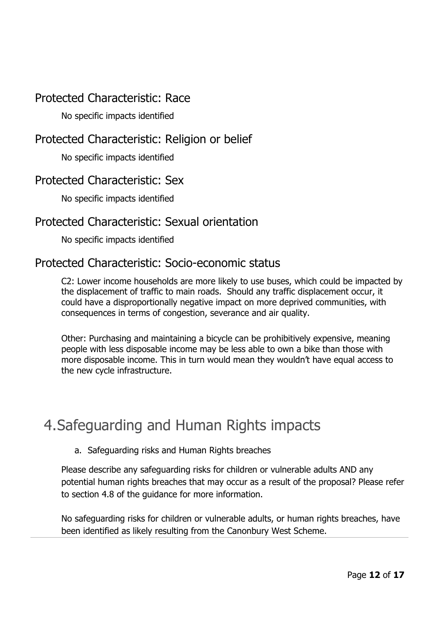#### Protected Characteristic: Race

No specific impacts identified

## Protected Characteristic: Religion or belief

No specific impacts identified

#### Protected Characteristic: Sex

No specific impacts identified

#### Protected Characteristic: Sexual orientation

No specific impacts identified

#### Protected Characteristic: Socio-economic status

C2: Lower income households are more likely to use buses, which could be impacted by the displacement of traffic to main roads. Should any traffic displacement occur, it could have a disproportionally negative impact on more deprived communities, with consequences in terms of congestion, severance and air quality.

Other: Purchasing and maintaining a bicycle can be prohibitively expensive, meaning people with less disposable income may be less able to own a bike than those with more disposable income. This in turn would mean they wouldn't have equal access to the new cycle infrastructure.

# 4.Safeguarding and Human Rights impacts

#### a. Safeguarding risks and Human Rights breaches

Please describe any safeguarding risks for children or vulnerable adults AND any potential human rights breaches that may occur as a result of the proposal? Please refer to section 4.8 of the guidance for more information.

No safeguarding risks for children or vulnerable adults, or human rights breaches, have been identified as likely resulting from the Canonbury West Scheme.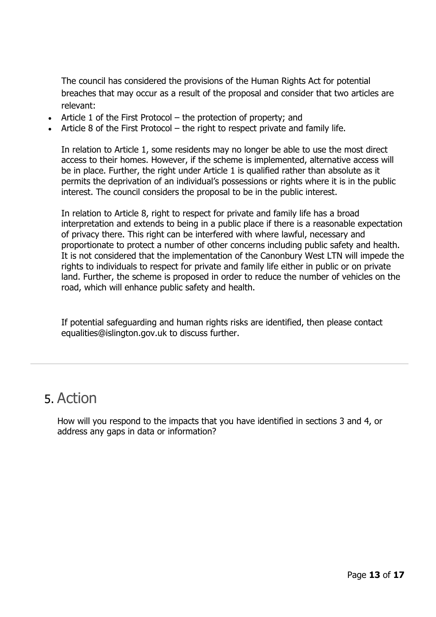The council has considered the provisions of the Human Rights Act for potential breaches that may occur as a result of the proposal and consider that two articles are relevant:

- Article 1 of the First Protocol the protection of property; and
- Article 8 of the First Protocol the right to respect private and family life.

In relation to Article 1, some residents may no longer be able to use the most direct access to their homes. However, if the scheme is implemented, alternative access will be in place. Further, the right under Article 1 is qualified rather than absolute as it permits the deprivation of an individual's possessions or rights where it is in the public interest. The council considers the proposal to be in the public interest.

In relation to Article 8, right to respect for private and family life has a broad interpretation and extends to being in a public place if there is a reasonable expectation of privacy there. This right can be interfered with where lawful, necessary and proportionate to protect a number of other concerns including public safety and health. It is not considered that the implementation of the Canonbury West LTN will impede the rights to individuals to respect for private and family life either in public or on private land. Further, the scheme is proposed in order to reduce the number of vehicles on the road, which will enhance public safety and health.

If potential safeguarding and human rights risks are identified, then please contact equalities@islington.gov.uk to discuss further.

## 5. Action

How will you respond to the impacts that you have identified in sections 3 and 4, or address any gaps in data or information?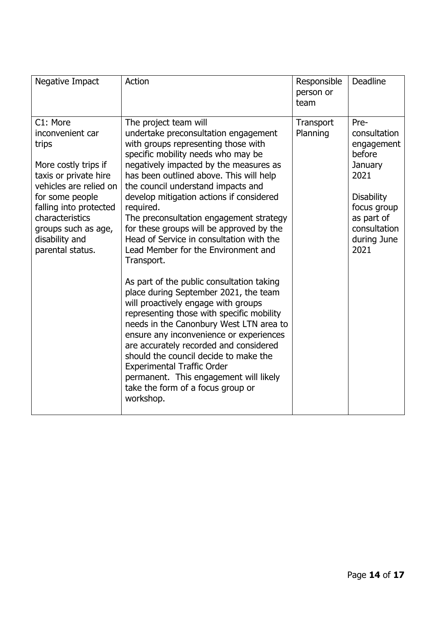| Negative Impact                                                                                                                                                                                                                               | Action                                                                                                                                                                                                                                                                                                                                                                                                                                                                                                                                                                                                                                                                                                                                                                                                                                                                                                                                                                                                     | Responsible<br>person or<br>team | <b>Deadline</b>                                                                                                                                          |
|-----------------------------------------------------------------------------------------------------------------------------------------------------------------------------------------------------------------------------------------------|------------------------------------------------------------------------------------------------------------------------------------------------------------------------------------------------------------------------------------------------------------------------------------------------------------------------------------------------------------------------------------------------------------------------------------------------------------------------------------------------------------------------------------------------------------------------------------------------------------------------------------------------------------------------------------------------------------------------------------------------------------------------------------------------------------------------------------------------------------------------------------------------------------------------------------------------------------------------------------------------------------|----------------------------------|----------------------------------------------------------------------------------------------------------------------------------------------------------|
| C1: More<br>inconvenient car<br>trips<br>More costly trips if<br>taxis or private hire<br>vehicles are relied on<br>for some people<br>falling into protected<br>characteristics<br>groups such as age,<br>disability and<br>parental status. | The project team will<br>undertake preconsultation engagement<br>with groups representing those with<br>specific mobility needs who may be<br>negatively impacted by the measures as<br>has been outlined above. This will help<br>the council understand impacts and<br>develop mitigation actions if considered<br>required.<br>The preconsultation engagement strategy<br>for these groups will be approved by the<br>Head of Service in consultation with the<br>Lead Member for the Environment and<br>Transport.<br>As part of the public consultation taking<br>place during September 2021, the team<br>will proactively engage with groups<br>representing those with specific mobility<br>needs in the Canonbury West LTN area to<br>ensure any inconvenience or experiences<br>are accurately recorded and considered<br>should the council decide to make the<br><b>Experimental Traffic Order</b><br>permanent. This engagement will likely<br>take the form of a focus group or<br>workshop. | Transport<br>Planning            | Pre-<br>consultation<br>engagement<br>before<br>January<br>2021<br><b>Disability</b><br>focus group<br>as part of<br>consultation<br>during June<br>2021 |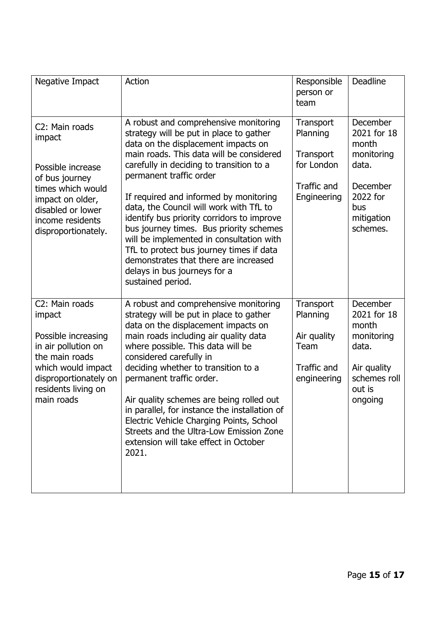| Negative Impact                                                                                                                                                                       | Action                                                                                                                                                                                                                                                                                                                                                                                                                                                                                                                                                                                                         | Responsible<br>person or<br>team                                                      | <b>Deadline</b>                                                                                                         |
|---------------------------------------------------------------------------------------------------------------------------------------------------------------------------------------|----------------------------------------------------------------------------------------------------------------------------------------------------------------------------------------------------------------------------------------------------------------------------------------------------------------------------------------------------------------------------------------------------------------------------------------------------------------------------------------------------------------------------------------------------------------------------------------------------------------|---------------------------------------------------------------------------------------|-------------------------------------------------------------------------------------------------------------------------|
| C <sub>2</sub> : Main roads<br>impact<br>Possible increase<br>of bus journey<br>times which would<br>impact on older,<br>disabled or lower<br>income residents<br>disproportionately. | A robust and comprehensive monitoring<br>strategy will be put in place to gather<br>data on the displacement impacts on<br>main roads. This data will be considered<br>carefully in deciding to transition to a<br>permanent traffic order<br>If required and informed by monitoring<br>data, the Council will work with TfL to<br>identify bus priority corridors to improve<br>bus journey times. Bus priority schemes<br>will be implemented in consultation with<br>TfL to protect bus journey times if data<br>demonstrates that there are increased<br>delays in bus journeys for a<br>sustained period. | Transport<br>Planning<br>Transport<br>for London<br><b>Traffic and</b><br>Engineering | <b>December</b><br>2021 for 18<br>month<br>monitoring<br>data.<br>December<br>2022 for<br>bus<br>mitigation<br>schemes. |
| C2: Main roads<br>impact<br>Possible increasing<br>in air pollution on<br>the main roads<br>which would impact<br>disproportionately on<br>residents living on<br>main roads          | A robust and comprehensive monitoring<br>strategy will be put in place to gather<br>data on the displacement impacts on<br>main roads including air quality data<br>where possible. This data will be<br>considered carefully in<br>deciding whether to transition to a<br>permanent traffic order.<br>Air quality schemes are being rolled out<br>in parallel, for instance the installation of<br>Electric Vehicle Charging Points, School<br>Streets and the Ultra-Low Emission Zone<br>extension will take effect in October<br>2021.                                                                      | Transport<br>Planning<br>Air quality<br>Team<br><b>Traffic and</b><br>engineering     | December<br>2021 for 18<br>month<br>monitoring<br>data.<br>Air quality<br>schemes roll<br>out is<br>ongoing             |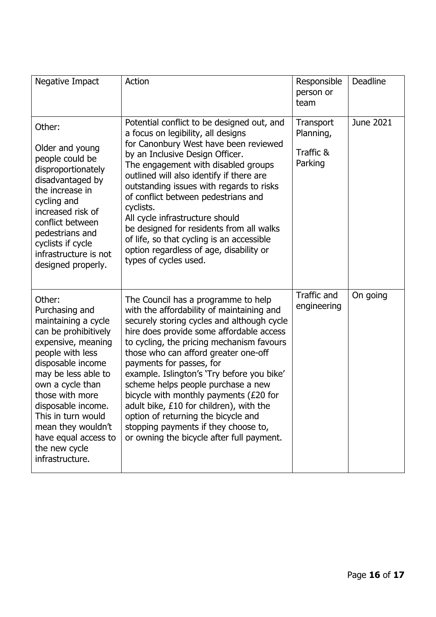| Negative Impact                                                                                                                                                                                                                                                                                                                    | Action                                                                                                                                                                                                                                                                                                                                                                                                                                                                                                                                                                                           | Responsible<br>person or<br>team               | <b>Deadline</b> |
|------------------------------------------------------------------------------------------------------------------------------------------------------------------------------------------------------------------------------------------------------------------------------------------------------------------------------------|--------------------------------------------------------------------------------------------------------------------------------------------------------------------------------------------------------------------------------------------------------------------------------------------------------------------------------------------------------------------------------------------------------------------------------------------------------------------------------------------------------------------------------------------------------------------------------------------------|------------------------------------------------|-----------------|
| Other:<br>Older and young<br>people could be<br>disproportionately<br>disadvantaged by<br>the increase in<br>cycling and<br>increased risk of<br>conflict between<br>pedestrians and<br>cyclists if cycle<br>infrastructure is not<br>designed properly.                                                                           | Potential conflict to be designed out, and<br>a focus on legibility, all designs<br>for Canonbury West have been reviewed<br>by an Inclusive Design Officer.<br>The engagement with disabled groups<br>outlined will also identify if there are<br>outstanding issues with regards to risks<br>of conflict between pedestrians and<br>cyclists.<br>All cycle infrastructure should<br>be designed for residents from all walks<br>of life, so that cycling is an accessible<br>option regardless of age, disability or<br>types of cycles used.                                                  | Transport<br>Planning,<br>Traffic &<br>Parking | June 2021       |
| Other:<br>Purchasing and<br>maintaining a cycle<br>can be prohibitively<br>expensive, meaning<br>people with less<br>disposable income<br>may be less able to<br>own a cycle than<br>those with more<br>disposable income.<br>This in turn would<br>mean they wouldn't<br>have equal access to<br>the new cycle<br>infrastructure. | The Council has a programme to help<br>with the affordability of maintaining and<br>securely storing cycles and although cycle<br>hire does provide some affordable access<br>to cycling, the pricing mechanism favours<br>those who can afford greater one-off<br>payments for passes, for<br>example. Islington's 'Try before you bike'<br>scheme helps people purchase a new<br>bicycle with monthly payments (£20 for<br>adult bike, £10 for children), with the<br>option of returning the bicycle and<br>stopping payments if they choose to,<br>or owning the bicycle after full payment. | Traffic and<br>engineering                     | On going        |